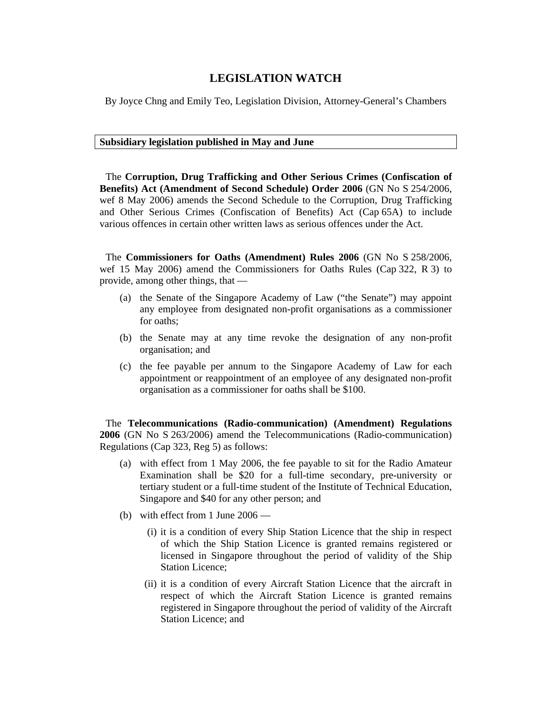## **LEGISLATION WATCH**

By Joyce Chng and Emily Teo, Legislation Division, Attorney-General's Chambers

## **Subsidiary legislation published in May and June**

The **Corruption, Drug Trafficking and Other Serious Crimes (Confiscation of Benefits) Act (Amendment of Second Schedule) Order 2006** (GN No S 254/2006, wef 8 May 2006) amends the Second Schedule to the Corruption, Drug Trafficking and Other Serious Crimes (Confiscation of Benefits) Act (Cap 65A) to include various offences in certain other written laws as serious offences under the Act.

The **Commissioners for Oaths (Amendment) Rules 2006** (GN No S 258/2006, wef 15 May 2006) amend the Commissioners for Oaths Rules (Cap 322, R 3) to provide, among other things, that —

- (a) the Senate of the Singapore Academy of Law ("the Senate") may appoint any employee from designated non-profit organisations as a commissioner for oaths;
- (b) the Senate may at any time revoke the designation of any non-profit organisation; and
- (c) the fee payable per annum to the Singapore Academy of Law for each appointment or reappointment of an employee of any designated non-profit organisation as a commissioner for oaths shall be \$100.

The **Telecommunications (Radio-communication) (Amendment) Regulations 2006** (GN No S 263/2006) amend the Telecommunications (Radio-communication) Regulations (Cap 323, Reg 5) as follows:

- (a) with effect from 1 May 2006, the fee payable to sit for the Radio Amateur Examination shall be \$20 for a full-time secondary, pre-university or tertiary student or a full-time student of the Institute of Technical Education, Singapore and \$40 for any other person; and
- (b) with effect from 1 June 2006
	- (i) it is a condition of every Ship Station Licence that the ship in respect of which the Ship Station Licence is granted remains registered or licensed in Singapore throughout the period of validity of the Ship Station Licence;
	- (ii) it is a condition of every Aircraft Station Licence that the aircraft in respect of which the Aircraft Station Licence is granted remains registered in Singapore throughout the period of validity of the Aircraft Station Licence; and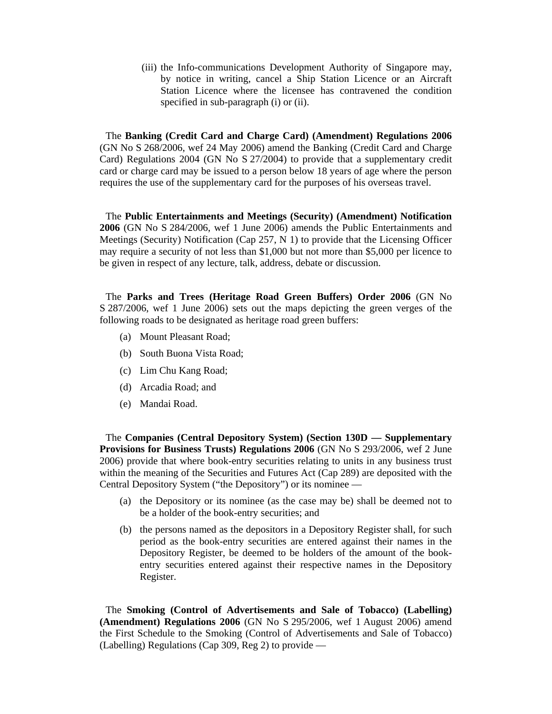(iii) the Info-communications Development Authority of Singapore may, by notice in writing, cancel a Ship Station Licence or an Aircraft Station Licence where the licensee has contravened the condition specified in sub-paragraph (i) or (ii).

The **Banking (Credit Card and Charge Card) (Amendment) Regulations 2006** (GN No S 268/2006, wef 24 May 2006) amend the Banking (Credit Card and Charge Card) Regulations 2004 (GN No S 27/2004) to provide that a supplementary credit card or charge card may be issued to a person below 18 years of age where the person requires the use of the supplementary card for the purposes of his overseas travel.

The **Public Entertainments and Meetings (Security) (Amendment) Notification 2006** (GN No S 284/2006, wef 1 June 2006) amends the Public Entertainments and Meetings (Security) Notification (Cap 257, N 1) to provide that the Licensing Officer may require a security of not less than \$1,000 but not more than \$5,000 per licence to be given in respect of any lecture, talk, address, debate or discussion.

The **Parks and Trees (Heritage Road Green Buffers) Order 2006** (GN No S 287/2006, wef 1 June 2006) sets out the maps depicting the green verges of the following roads to be designated as heritage road green buffers:

- (a) Mount Pleasant Road;
- (b) South Buona Vista Road;
- (c) Lim Chu Kang Road;
- (d) Arcadia Road; and
- (e) Mandai Road.

The **Companies (Central Depository System) (Section 130D — Supplementary Provisions for Business Trusts) Regulations 2006** (GN No S 293/2006, wef 2 June 2006) provide that where book-entry securities relating to units in any business trust within the meaning of the Securities and Futures Act (Cap 289) are deposited with the Central Depository System ("the Depository") or its nominee —

- (a) the Depository or its nominee (as the case may be) shall be deemed not to be a holder of the book-entry securities; and
- (b) the persons named as the depositors in a Depository Register shall, for such period as the book-entry securities are entered against their names in the Depository Register, be deemed to be holders of the amount of the bookentry securities entered against their respective names in the Depository Register.

The **Smoking (Control of Advertisements and Sale of Tobacco) (Labelling) (Amendment) Regulations 2006** (GN No S 295/2006, wef 1 August 2006) amend the First Schedule to the Smoking (Control of Advertisements and Sale of Tobacco) (Labelling) Regulations (Cap 309, Reg 2) to provide —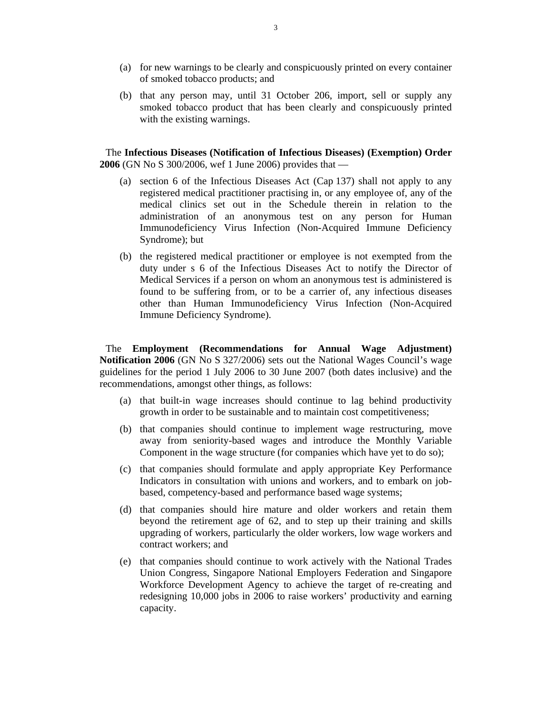- (a) for new warnings to be clearly and conspicuously printed on every container of smoked tobacco products; and
- (b) that any person may, until 31 October 206, import, sell or supply any smoked tobacco product that has been clearly and conspicuously printed with the existing warnings.

The **Infectious Diseases (Notification of Infectious Diseases) (Exemption) Order 2006** (GN No S 300/2006, wef 1 June 2006) provides that —

- (a) section 6 of the Infectious Diseases Act (Cap 137) shall not apply to any registered medical practitioner practising in, or any employee of, any of the medical clinics set out in the Schedule therein in relation to the administration of an anonymous test on any person for Human Immunodeficiency Virus Infection (Non-Acquired Immune Deficiency Syndrome); but
- (b) the registered medical practitioner or employee is not exempted from the duty under s 6 of the Infectious Diseases Act to notify the Director of Medical Services if a person on whom an anonymous test is administered is found to be suffering from, or to be a carrier of, any infectious diseases other than Human Immunodeficiency Virus Infection (Non-Acquired Immune Deficiency Syndrome).

The **Employment (Recommendations for Annual Wage Adjustment) Notification 2006** (GN No S 327/2006) sets out the National Wages Council's wage guidelines for the period 1 July 2006 to 30 June 2007 (both dates inclusive) and the recommendations, amongst other things, as follows:

- (a) that built-in wage increases should continue to lag behind productivity growth in order to be sustainable and to maintain cost competitiveness;
- (b) that companies should continue to implement wage restructuring, move away from seniority-based wages and introduce the Monthly Variable Component in the wage structure (for companies which have yet to do so);
- (c) that companies should formulate and apply appropriate Key Performance Indicators in consultation with unions and workers, and to embark on jobbased, competency-based and performance based wage systems;
- (d) that companies should hire mature and older workers and retain them beyond the retirement age of 62, and to step up their training and skills upgrading of workers, particularly the older workers, low wage workers and contract workers; and
- (e) that companies should continue to work actively with the National Trades Union Congress, Singapore National Employers Federation and Singapore Workforce Development Agency to achieve the target of re-creating and redesigning 10,000 jobs in 2006 to raise workers' productivity and earning capacity.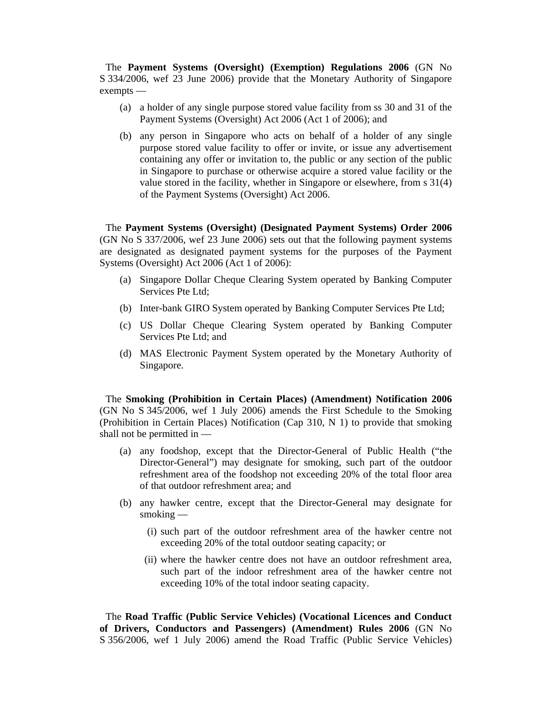The **Payment Systems (Oversight) (Exemption) Regulations 2006** (GN No S 334/2006, wef 23 June 2006) provide that the Monetary Authority of Singapore exempts —

- (a) a holder of any single purpose stored value facility from ss 30 and 31 of the Payment Systems (Oversight) Act 2006 (Act 1 of 2006); and
- (b) any person in Singapore who acts on behalf of a holder of any single purpose stored value facility to offer or invite, or issue any advertisement containing any offer or invitation to, the public or any section of the public in Singapore to purchase or otherwise acquire a stored value facility or the value stored in the facility, whether in Singapore or elsewhere, from s 31(4) of the Payment Systems (Oversight) Act 2006.

The **Payment Systems (Oversight) (Designated Payment Systems) Order 2006** (GN No S 337/2006, wef 23 June 2006) sets out that the following payment systems are designated as designated payment systems for the purposes of the Payment Systems (Oversight) Act 2006 (Act 1 of 2006):

- (a) Singapore Dollar Cheque Clearing System operated by Banking Computer Services Pte Ltd;
- (b) Inter-bank GIRO System operated by Banking Computer Services Pte Ltd;
- (c) US Dollar Cheque Clearing System operated by Banking Computer Services Pte Ltd; and
- (d) MAS Electronic Payment System operated by the Monetary Authority of Singapore.

The **Smoking (Prohibition in Certain Places) (Amendment) Notification 2006** (GN No S 345/2006, wef 1 July 2006) amends the First Schedule to the Smoking (Prohibition in Certain Places) Notification (Cap 310, N 1) to provide that smoking shall not be permitted in —

- (a) any foodshop, except that the Director-General of Public Health ("the Director-General") may designate for smoking, such part of the outdoor refreshment area of the foodshop not exceeding 20% of the total floor area of that outdoor refreshment area; and
- (b) any hawker centre, except that the Director-General may designate for smoking —
	- (i) such part of the outdoor refreshment area of the hawker centre not exceeding 20% of the total outdoor seating capacity; or
	- (ii) where the hawker centre does not have an outdoor refreshment area, such part of the indoor refreshment area of the hawker centre not exceeding 10% of the total indoor seating capacity.

The **Road Traffic (Public Service Vehicles) (Vocational Licences and Conduct of Drivers, Conductors and Passengers) (Amendment) Rules 2006** (GN No S 356/2006, wef 1 July 2006) amend the Road Traffic (Public Service Vehicles)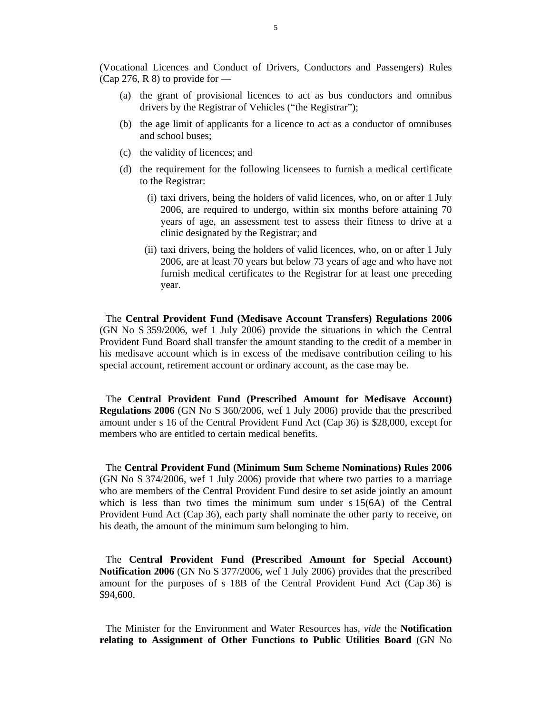(Vocational Licences and Conduct of Drivers, Conductors and Passengers) Rules (Cap 276, R 8) to provide for  $-$ 

- (a) the grant of provisional licences to act as bus conductors and omnibus drivers by the Registrar of Vehicles ("the Registrar");
- (b) the age limit of applicants for a licence to act as a conductor of omnibuses and school buses;
- (c) the validity of licences; and
- (d) the requirement for the following licensees to furnish a medical certificate to the Registrar:
	- (i) taxi drivers, being the holders of valid licences, who, on or after 1 July 2006, are required to undergo, within six months before attaining 70 years of age, an assessment test to assess their fitness to drive at a clinic designated by the Registrar; and
	- (ii) taxi drivers, being the holders of valid licences, who, on or after 1 July 2006, are at least 70 years but below 73 years of age and who have not furnish medical certificates to the Registrar for at least one preceding year.

The **Central Provident Fund (Medisave Account Transfers) Regulations 2006** (GN No S 359/2006, wef 1 July 2006) provide the situations in which the Central Provident Fund Board shall transfer the amount standing to the credit of a member in his medisave account which is in excess of the medisave contribution ceiling to his special account, retirement account or ordinary account, as the case may be.

The **Central Provident Fund (Prescribed Amount for Medisave Account) Regulations 2006** (GN No S 360/2006, wef 1 July 2006) provide that the prescribed amount under s 16 of the Central Provident Fund Act (Cap 36) is \$28,000, except for members who are entitled to certain medical benefits.

The **Central Provident Fund (Minimum Sum Scheme Nominations) Rules 2006** (GN No S 374/2006, wef 1 July 2006) provide that where two parties to a marriage who are members of the Central Provident Fund desire to set aside jointly an amount which is less than two times the minimum sum under s 15(6A) of the Central Provident Fund Act (Cap 36), each party shall nominate the other party to receive, on his death, the amount of the minimum sum belonging to him.

The **Central Provident Fund (Prescribed Amount for Special Account) Notification 2006** (GN No S 377/2006, wef 1 July 2006) provides that the prescribed amount for the purposes of s 18B of the Central Provident Fund Act (Cap 36) is \$94,600.

The Minister for the Environment and Water Resources has, *vide* the **Notification relating to Assignment of Other Functions to Public Utilities Board** (GN No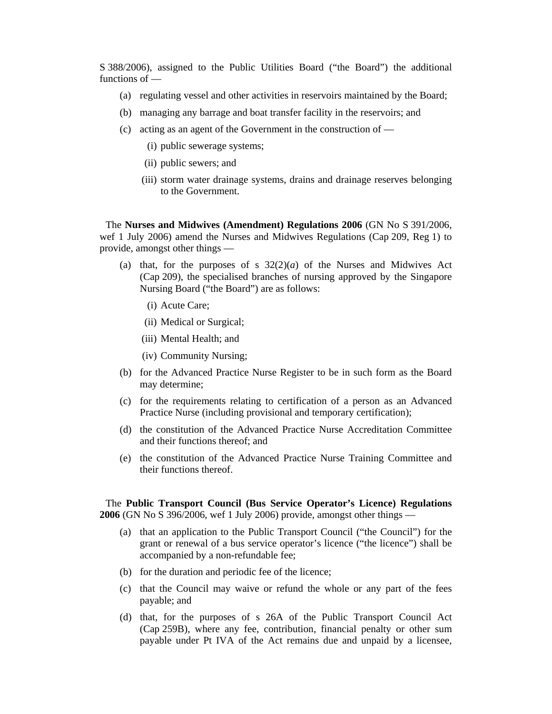S 388/2006), assigned to the Public Utilities Board ("the Board") the additional functions of —

- (a) regulating vessel and other activities in reservoirs maintained by the Board;
- (b) managing any barrage and boat transfer facility in the reservoirs; and
- (c) acting as an agent of the Government in the construction of
	- (i) public sewerage systems;
	- (ii) public sewers; and
	- (iii) storm water drainage systems, drains and drainage reserves belonging to the Government.

The **Nurses and Midwives (Amendment) Regulations 2006** (GN No S 391/2006, wef 1 July 2006) amend the Nurses and Midwives Regulations (Cap 209, Reg 1) to provide, amongst other things —

- (a) that, for the purposes of s  $32(2)(a)$  of the Nurses and Midwives Act (Cap 209), the specialised branches of nursing approved by the Singapore Nursing Board ("the Board") are as follows:
	- (i) Acute Care;
	- (ii) Medical or Surgical;
	- (iii) Mental Health; and
	- (iv) Community Nursing;
- (b) for the Advanced Practice Nurse Register to be in such form as the Board may determine;
- (c) for the requirements relating to certification of a person as an Advanced Practice Nurse (including provisional and temporary certification);
- (d) the constitution of the Advanced Practice Nurse Accreditation Committee and their functions thereof; and
- (e) the constitution of the Advanced Practice Nurse Training Committee and their functions thereof.

The **Public Transport Council (Bus Service Operator's Licence) Regulations 2006** (GN No S 396/2006, wef 1 July 2006) provide, amongst other things —

- (a) that an application to the Public Transport Council ("the Council") for the grant or renewal of a bus service operator's licence ("the licence") shall be accompanied by a non-refundable fee;
- (b) for the duration and periodic fee of the licence;
- (c) that the Council may waive or refund the whole or any part of the fees payable; and
- (d) that, for the purposes of s 26A of the Public Transport Council Act (Cap 259B), where any fee, contribution, financial penalty or other sum payable under Pt IVA of the Act remains due and unpaid by a licensee,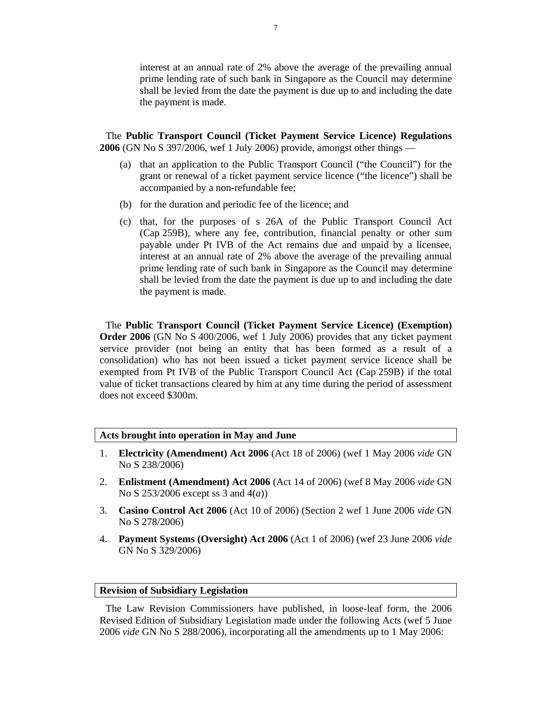interest at an annual rate of 2% above the average of the prevailing annual prime lending rate of such bank in Singapore as the Council may determine shall be levied from the date the payment is due up to and including the date the payment is made.

The **Public Transport Council (Ticket Payment Service Licence) Regulations 2006** (GN No S 397/2006, wef 1 July 2006) provide, amongst other things —

- (a) that an application to the Public Transport Council ("the Council") for the grant or renewal of a ticket payment service licence ("the licence") shall be accompanied by a non-refundable fee;
- (b) for the duration and periodic fee of the licence; and
- (c) that, for the purposes of s 26A of the Public Transport Council Act (Cap 259B), where any fee, contribution, financial penalty or other sum payable under Pt IVB of the Act remains due and unpaid by a licensee, interest at an annual rate of 2% above the average of the prevailing annual prime lending rate of such bank in Singapore as the Council may determine shall be levied from the date the payment is due up to and including the date the payment is made.

The **Public Transport Council (Ticket Payment Service Licence) (Exemption) Order 2006** (GN No S 400/2006, wef 1 July 2006) provides that any ticket payment service provider (not being an entity that has been formed as a result of a consolidation) who has not been issued a ticket payment service licence shall be exempted from Pt IVB of the Public Transport Council Act (Cap 259B) if the total value of ticket transactions cleared by him at any time during the period of assessment does not exceed \$300m.

## **Acts brought into operation in May and June**

- 1. **Electricity (Amendment) Act 2006** (Act 18 of 2006) (wef 1 May 2006 *vide* GN No S 238/2006)
- 2. **Enlistment (Amendment) Act 2006** (Act 14 of 2006) (wef 8 May 2006 *vide* GN No S 253/2006 except ss 3 and 4(*a*))
- 3. **Casino Control Act 2006** (Act 10 of 2006) (Section 2 wef 1 June 2006 *vide* GN No S 278/2006)
- 4. **Payment Systems (Oversight) Act 2006** (Act 1 of 2006) (wef 23 June 2006 *vide* GN No S 329/2006)

## **Revision of Subsidiary Legislation**

The Law Revision Commissioners have published, in loose-leaf form, the 2006 Revised Edition of Subsidiary Legislation made under the following Acts (wef 5 June 2006 *vide* GN No S 288/2006), incorporating all the amendments up to 1 May 2006: